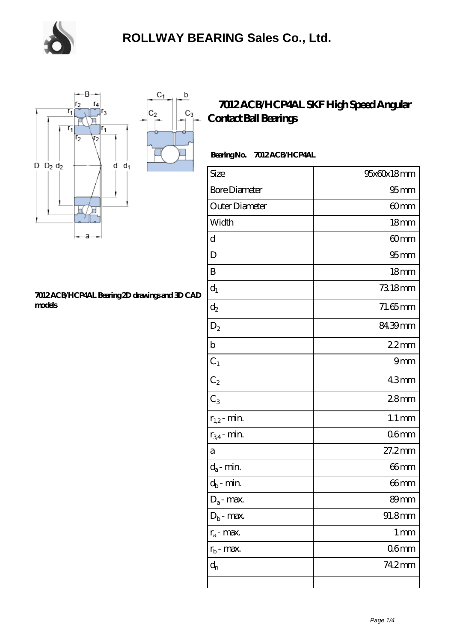

 $\sf b$ 

o

 $C_3$ 



#### **[7012 ACB/HCP4AL Bearing 2D drawings and 3D CAD](https://m.chooseyourcufflinks.com/pic-938503.html) [models](https://m.chooseyourcufflinks.com/pic-938503.html)**

### **[7012 ACB/HCP4AL SKF High Speed Angular](https://m.chooseyourcufflinks.com/skf-bearing/7012-acb-hcp4al.html) [Contact Ball Bearings](https://m.chooseyourcufflinks.com/skf-bearing/7012-acb-hcp4al.html)**

### **Bearing No. 7012 ACB/HCP4AL**

| Size                 | 95x60x18mm          |
|----------------------|---------------------|
| <b>Bore Diameter</b> | $95$ mm             |
| Outer Diameter       | 60mm                |
| Width                | 18 <sub>mm</sub>    |
| d                    | 60mm                |
| D                    | $95$ <sub>mm</sub>  |
| B                    | 18 <sub>mm</sub>    |
| $d_1$                | 7318mm              |
| $d_2$                | $71.65$ mm          |
| $D_2$                | 84.39mm             |
| $\mathbf b$          | 22mm                |
| $C_1$                | 9mm                 |
| $C_2$                | 43mm                |
| $C_3$                | 28 <sub>mm</sub>    |
| $r_{1,2}$ - min.     | $1.1 \,\mathrm{mm}$ |
| $r_{34}$ - min.      | 06 <sub>mm</sub>    |
| a                    | 27.2mm              |
| $d_a$ - min.         | $66$ mm             |
| $d_b$ - min.         | 66mm                |
| $D_a$ - max.         | 89mm                |
| $D_b$ - max.         | 91.8mm              |
| $r_a$ - max.         | $1 \,\mathrm{mm}$   |
| $r_{b}$ - max.       | 06 <sub>mm</sub>    |
| $d_n$                | 742mm               |
|                      |                     |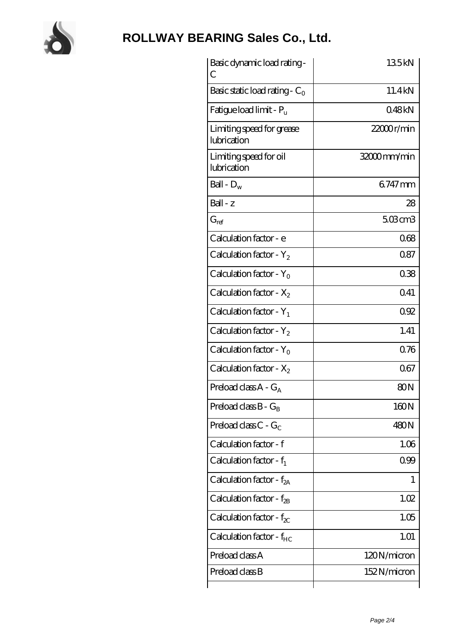

# **[ROLLWAY BEARING Sales Co., Ltd.](https://m.chooseyourcufflinks.com)**

| Basic dynamic load rating -<br>С         | 135kN        |
|------------------------------------------|--------------|
| Basic static load rating - $C_0$         | 11.4kN       |
| Fatigue load limit - $P_{\rm u}$         | 048kN        |
| Limiting speed for grease<br>lubrication | 22000r/min   |
| Limiting speed for oil<br>lubrication    | 32000mm/min  |
| Ball - $D_w$                             | 6747mm       |
| Ball - z                                 | 28           |
| $G_{ref}$                                | $503$ cm $3$ |
| Calculation factor - e                   | 068          |
| Calculation factor - $Y_2$               | 087          |
| Calculation factor - $Y_0$               | 038          |
| Calculation factor - $X_2$               | 041          |
| Calculation factor - $Y_1$               | 092          |
| Calculation factor - $Y_2$               | 1.41         |
| Calculation factor - $Y_0$               | 0.76         |
| Calculation factor - $X_2$               | 067          |
| Preload class $A - G_A$                  | 80N          |
| Preload class $B - G_B$                  | 160N         |
| Preload class $C - G_C$                  | 480N         |
| Calculation factor - f                   | 1.06         |
| Calculation factor - $f_1$               | 099          |
| Calculation factor - $f_{2A}$            | 1            |
| Calculation factor - $f_{\rm 2B}$        | 1.02         |
| Calculation factor - $f_{\chi}$          | 1.05         |
| Calculation factor - $f_{HC}$            | 1.01         |
| Preload class A                          | 120N/micron  |
| Preload class B                          | 152N/micron  |
|                                          |              |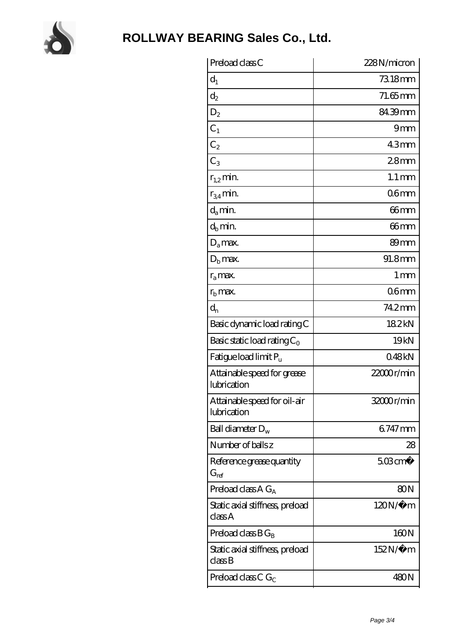

| Preload class C                             | 228N/micron           |
|---------------------------------------------|-----------------------|
| $d_1$                                       | 7318mm                |
| $\mathrm{d}_2$                              | $71.65$ mm            |
| $D_2$                                       | 84.39mm               |
| $C_1$                                       | 9mm                   |
| C <sub>2</sub>                              | 43mm                  |
| $C_3$                                       | 28 <sub>mm</sub>      |
| $r_{1,2}$ min.                              | $1.1 \,\mathrm{mm}$   |
| $r_{34}$ min.                               | 06 <sub>mm</sub>      |
| $d_a$ min.                                  | 66mm                  |
| $d_b$ min.                                  | 66mm                  |
| $D_a$ max.                                  | 89 <sub>mm</sub>      |
| $Db$ max.                                   | 91.8mm                |
| $r_a$ max.                                  | 1 <sub>mm</sub>       |
| $rb$ max.                                   | 06 <sub>mm</sub>      |
| $d_{n}$                                     | 74.2mm                |
| Basic dynamic load rating C                 | 182kN                 |
| Basic static load rating $C_0$              | 19 <sub>kN</sub>      |
| Fatigue load limit P <sub>u</sub>           | 048kN                 |
| Attainable speed for grease<br>lubrication  | 22000r/min            |
| Attainable speed for oil-air<br>lubrication | 32000r/min            |
| Ball diameter $D_w$                         | 6747mm                |
| Number of balls z                           | 28                    |
| Reference grease quantity<br>$G_{ref}$      | $508$ cm <sup>3</sup> |
| Preload class A $G_A$                       | 80 <sub>N</sub>       |
| Static axial stiffness, preload<br>classA   | $120N/\mu$ m          |
| Preload class $BG_B$                        | 160N                  |
| Static axial stiffness, preload<br>classB   | $152N/\mu$ m          |
| Preload class C $G_C$                       | 480N                  |
|                                             |                       |